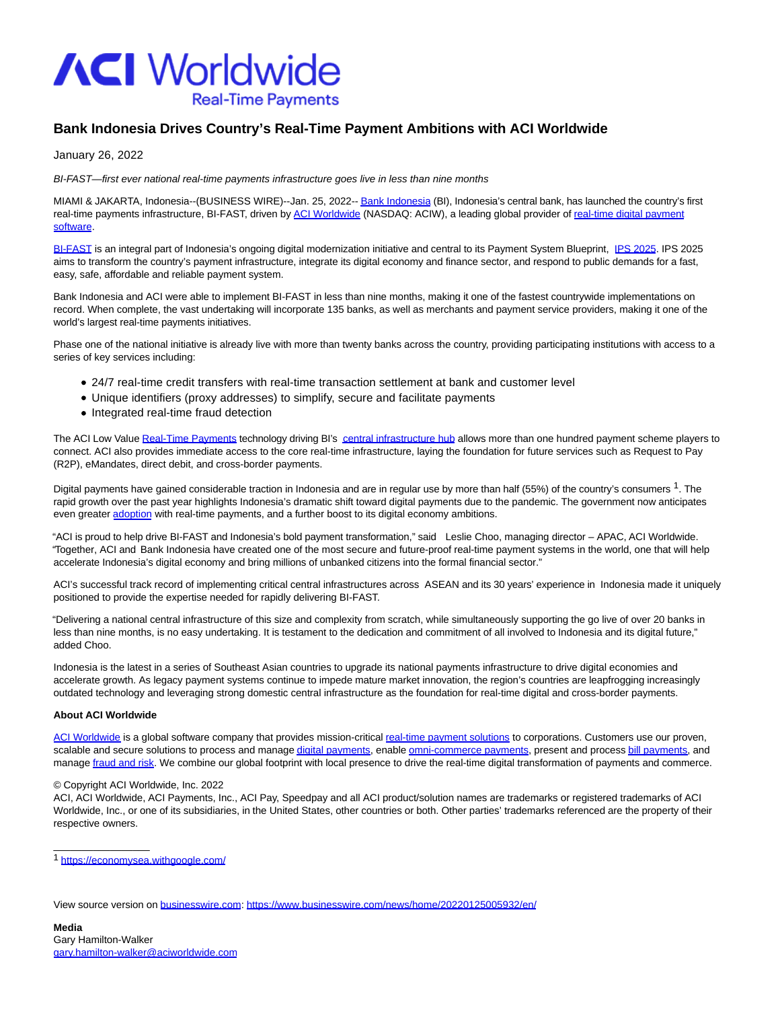

## **Bank Indonesia Drives Country's Real-Time Payment Ambitions with ACI Worldwide**

January 26, 2022

BI-FAST—first ever national real-time payments infrastructure goes live in less than nine months

MIAMI & JAKARTA, Indonesia--(BUSINESS WIRE)--Jan. 25, 2022-[- Bank Indonesia \(](https://cts.businesswire.com/ct/CT?id=smartlink&url=https%3A%2F%2Fwww.bi.go.id&esheet=52568345&newsitemid=20220125005932&lan=en-US&anchor=Bank+Indonesia&index=1&md5=9410057b600692c7c5bbf99cf9935a9c)BI), Indonesia's central bank, has launched the country's first real-time payments infrastructure, BI-FAST, driven by [ACI Worldwide \(](https://cts.businesswire.com/ct/CT?id=smartlink&url=https%3A%2F%2Fwww.aciworldwide.com%2F&esheet=52568345&newsitemid=20220125005932&lan=en-US&anchor=ACI+Worldwide&index=2&md5=3ebc1b22df0cfca4854727cdd06d8ab4)NASDAQ: ACIW), a leading global provider of [real-time digital payment](https://cts.businesswire.com/ct/CT?id=smartlink&url=https%3A%2F%2Fwww.aciworldwide.com%2Fabout-aci&esheet=52568345&newsitemid=20220125005932&lan=en-US&anchor=real-time+digital+payment+software&index=3&md5=28cc65f519263dc1598a3bbf222b150f) software.

[BI-FAST i](https://cts.businesswire.com/ct/CT?id=smartlink&url=https%3A%2F%2Fwww.bi.go.id%2Fen%2Fpublikasi%2Fruang-media%2Fnews-release%2FDocuments%2Fsp_2327021_FAQ.pdf&esheet=52568345&newsitemid=20220125005932&lan=en-US&anchor=BI-FAST&index=4&md5=ddc747b6fb1e16923aab12e92d41fd12)s an integral part of Indonesia's ongoing digital modernization initiative and central to its Payment System Blueprint, [IPS 2025.](https://cts.businesswire.com/ct/CT?id=smartlink&url=https%3A%2F%2Fwww.bi.go.id%2Fen%2Fpublikasi%2Fkajian%2FDocuments%2FIndonesia-Payment-Systems-Blueprint-2025-Presentation.pdf&esheet=52568345&newsitemid=20220125005932&lan=en-US&anchor=IPS+2025&index=5&md5=25d7961c2ba9380cda9fe87eb2b34a06) IPS 2025 aims to transform the country's payment infrastructure, integrate its digital economy and finance sector, and respond to public demands for a fast, easy, safe, affordable and reliable payment system.

Bank Indonesia and ACI were able to implement BI-FAST in less than nine months, making it one of the fastest countrywide implementations on record. When complete, the vast undertaking will incorporate 135 banks, as well as merchants and payment service providers, making it one of the world's largest real-time payments initiatives.

Phase one of the national initiative is already live with more than twenty banks across the country, providing participating institutions with access to a series of key services including:

- 24/7 real-time credit transfers with real-time transaction settlement at bank and customer level
- Unique identifiers (proxy addresses) to simplify, secure and facilitate payments
- Integrated real-time fraud detection

The ACI Low Value [Real-Time Payments t](https://cts.businesswire.com/ct/CT?id=smartlink&url=https%3A%2F%2Fwww.aciworldwide.com%2Fsolutions%2Faci-low-value-real-time-payments&esheet=52568345&newsitemid=20220125005932&lan=en-US&anchor=Real-Time+Payments&index=6&md5=34923528d6ad2ff6312ec25414ce720c)echnology driving BI's [central infrastructure hub a](https://cts.businesswire.com/ct/CT?id=smartlink&url=https%3A%2F%2Fwww.aciworldwide.com%2Findustries%2Fcentral-infrastructure&esheet=52568345&newsitemid=20220125005932&lan=en-US&anchor=central+infrastructure+hub&index=7&md5=f2a39e5342e31b7f02b0dca19ca7ff8c)llows more than one hundred payment scheme players to connect. ACI also provides immediate access to the core real-time infrastructure, laying the foundation for future services such as Request to Pay (R2P), eMandates, direct debit, and cross-border payments.

Digital payments have gained considerable traction in Indonesia and are in regular use by more than half (55%) of the country's consumers <sup>1</sup>. The rapid growth over the past year highlights Indonesia's dramatic shift toward digital payments due to the pandemic. The government now anticipates even greater [adoption w](https://cts.businesswire.com/ct/CT?id=smartlink&url=https%3A%2F%2Fgo.aciworldwide.com%2FAPNConsumerResearchReport-Registration.html&esheet=52568345&newsitemid=20220125005932&lan=en-US&anchor=adoption&index=8&md5=a91571c9196f9dcff2d2a89a416ce9ec)ith real-time payments, and a further boost to its digital economy ambitions.

"ACI is proud to help drive BI-FAST and Indonesia's bold payment transformation," said Leslie Choo, managing director – APAC, ACI Worldwide. "Together, ACI and Bank Indonesia have created one of the most secure and future-proof real-time payment systems in the world, one that will help accelerate Indonesia's digital economy and bring millions of unbanked citizens into the formal financial sector."

ACI's successful track record of implementing critical central infrastructures across ASEAN and its 30 years' experience in Indonesia made it uniquely positioned to provide the expertise needed for rapidly delivering BI-FAST.

"Delivering a national central infrastructure of this size and complexity from scratch, while simultaneously supporting the go live of over 20 banks in less than nine months, is no easy undertaking. It is testament to the dedication and commitment of all involved to Indonesia and its digital future," added Choo.

Indonesia is the latest in a series of Southeast Asian countries to upgrade its national payments infrastructure to drive digital economies and accelerate growth. As legacy payment systems continue to impede mature market innovation, the region's countries are leapfrogging increasingly outdated technology and leveraging strong domestic central infrastructure as the foundation for real-time digital and cross-border payments.

## **About ACI Worldwide**

 $\overline{\phantom{a}}$  ,  $\overline{\phantom{a}}$  ,  $\overline{\phantom{a}}$  ,  $\overline{\phantom{a}}$  ,  $\overline{\phantom{a}}$  ,  $\overline{\phantom{a}}$  ,  $\overline{\phantom{a}}$  ,  $\overline{\phantom{a}}$  ,  $\overline{\phantom{a}}$  ,  $\overline{\phantom{a}}$  ,  $\overline{\phantom{a}}$  ,  $\overline{\phantom{a}}$  ,  $\overline{\phantom{a}}$  ,  $\overline{\phantom{a}}$  ,  $\overline{\phantom{a}}$  ,  $\overline{\phantom{a}}$ 

[ACI Worldwide i](https://cts.businesswire.com/ct/CT?id=smartlink&url=https%3A%2F%2Fwww.aciworldwide.com%2F%3Futm_source%3Dpress-release%26utm_medium%3Dpress-release%26utm_campaign%3D2021-press-release%26utm_content%3Dboilerplate&esheet=52568345&newsitemid=20220125005932&lan=en-US&anchor=ACI+Worldwide&index=9&md5=173c88103432aa03caf766d3d8e7b8be)s a global software company that provides mission-critical [real-time payment solutions t](https://cts.businesswire.com/ct/CT?id=smartlink&url=https%3A%2F%2Fwww.aciworldwide.com%2Fabout-aci%2F%3Futm_source%3Dpress-release%26utm_medium%3Dpress-release%26utm_campaign%3D2021-press-release%26utm_content%3Dboilerplate&esheet=52568345&newsitemid=20220125005932&lan=en-US&anchor=real-time+payment+solutions&index=10&md5=7433b6273531954a8668b34776a14ea0)o corporations. Customers use our proven, scalable and secure solutions to process and manag[e digital payments,](https://cts.businesswire.com/ct/CT?id=smartlink&url=https%3A%2F%2Fwww.aciworldwide.com%2Fsolutions%2Faci-enterprise-payments-platform%2F%3Futm_source%3Dpress-release%26utm_medium%3Dpress-release%26utm_campaign%3D2021-press-release%26utm_content%3Dboilerplate&esheet=52568345&newsitemid=20220125005932&lan=en-US&anchor=digital+payments&index=11&md5=de26b5e2bfbbf7997a0832a9330603a1) enabl[e omni-commerce payments,](https://cts.businesswire.com/ct/CT?id=smartlink&url=https%3A%2F%2Fwww.aciworldwide.com%2Fsolutions%2Faci-omni-commerce%2F%3Futm_source%3Dpress-release%26utm_medium%3Dpress-release%26utm_campaign%3D2021-press-release%26utm_content%3Dboilerplate&esheet=52568345&newsitemid=20220125005932&lan=en-US&anchor=omni-commerce+payments&index=12&md5=c13abb62d7487abd5eaf482bca66b614) present and proces[s bill payments,](https://cts.businesswire.com/ct/CT?id=smartlink&url=https%3A%2F%2Fwww.aciworldwide.com%2Fsolutions%2Faci-speedpay%2F%3Futm_source%3Dpress-release%26utm_medium%3Dpress-release%26utm_campaign%3D2021-press-release%26utm_content%3Dboilerplate&esheet=52568345&newsitemid=20220125005932&lan=en-US&anchor=bill+payments&index=13&md5=5cac7ce9b766dcfe4f74346570d368c7) and manage [fraud and risk.](https://cts.businesswire.com/ct/CT?id=smartlink&url=https%3A%2F%2Fwww.aciworldwide.com%2Fsolutions%2Faci-fraud-management-banking%2F%3Futm_source%3Dpress-release%26utm_medium%3Dpress-release%26utm_campaign%3D2021-press-release%26utm_content%3Dboilerplate&esheet=52568345&newsitemid=20220125005932&lan=en-US&anchor=fraud+and+risk&index=14&md5=07e0d293660453e6f99f07636ecbef6a) We combine our global footprint with local presence to drive the real-time digital transformation of payments and commerce.

## © Copyright ACI Worldwide, Inc. 2022

ACI, ACI Worldwide, ACI Payments, Inc., ACI Pay, Speedpay and all ACI product/solution names are trademarks or registered trademarks of ACI Worldwide, Inc., or one of its subsidiaries, in the United States, other countries or both. Other parties' trademarks referenced are the property of their respective owners.

<sup>1</sup> [https://economysea.withgoogle.com/](https://cts.businesswire.com/ct/CT?id=smartlink&url=https%3A%2F%2Feconomysea.withgoogle.com%2F&esheet=52568345&newsitemid=20220125005932&lan=en-US&anchor=https%3A%2F%2Feconomysea.withgoogle.com%2F&index=15&md5=11d54d7ab8df28cd26f813ee7b48fe1f)

View source version on [businesswire.com:](http://businesswire.com/)<https://www.businesswire.com/news/home/20220125005932/en/>